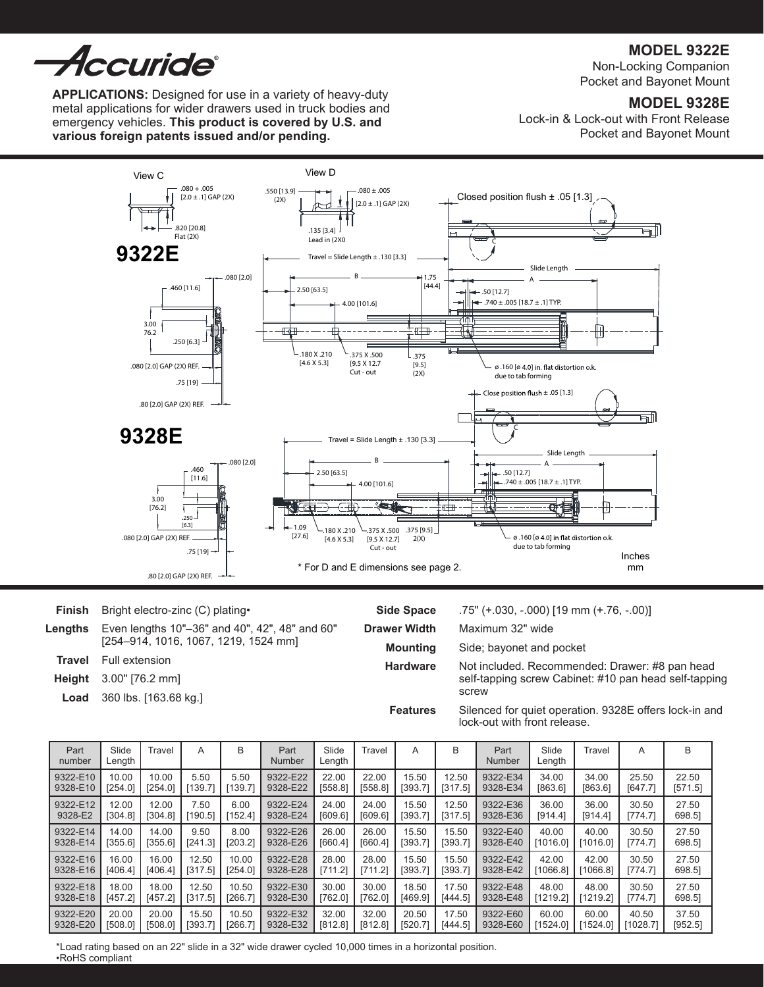# **MODEL 9322E**



Non-Locking Companion Pocket and Bayonet Mount

# **MODEL 9328E**

**APPLICATIONS:** Designed for use in a variety of heavy-duty metal applications for wider drawers used in truck bodies and emergency vehicles. **This product is covered by U.S. and various foreign patents issued and/or pending.**

Lock-in & Lock-out with Front Release Pocket and Bayonet Mount



**Finish** Bright electro-zinc (C) plating•

| <b>Lengths</b> Even lengths $10" - 36"$ and $40"$ , $42"$ , $48"$ and $60"$<br>[254-914, 1016, 1067, 1219, 1524 mm] |
|---------------------------------------------------------------------------------------------------------------------|
| <b>Travel</b> Full extension                                                                                        |
| <b>Height</b> 3.00" [76.2 mm]                                                                                       |
| <b>Load</b> 360 lbs. [163.68 kg.]                                                                                   |
|                                                                                                                     |

| <b>Side Space</b>                       | $.75"$ (+.030, -.000) [19 mm (+.76, -.00)]                                                                       |  |  |
|-----------------------------------------|------------------------------------------------------------------------------------------------------------------|--|--|
| Maximum 32" wide<br><b>Drawer Width</b> |                                                                                                                  |  |  |
| <b>Mounting</b>                         | Side; bayonet and pocket                                                                                         |  |  |
| <b>Hardware</b>                         | Not included. Recommended: Drawer: #8 pan head<br>self-tapping screw Cabinet: #10 pan head self-tapping<br>screw |  |  |
| <b>Features</b>                         | Silenced for quiet operation. 9328E offers lock-in and<br>lock-out with front release.                           |  |  |

| Part<br>number | Slide<br>Length | Travel  | Α       | B       | Part<br>Number | Slide<br>Length | Fravel  | A       | B       | Part<br>Number | Slide<br>Length | Travel   | A        | B       |
|----------------|-----------------|---------|---------|---------|----------------|-----------------|---------|---------|---------|----------------|-----------------|----------|----------|---------|
| 9322-E10       | 10.00           | 10.00   | 5.50    | 5.50    | 9322-E22       | 22.00           | 22.00   | 15.50   | 12.50   | 9322-E34       | 34.00           | 34.00    | 25.50    | 22.50   |
| 9328-E10       | [254.0]         | [254.0] | [139.7] | [139.7] | 9328-E22       | [558.8]         | [558.8] | [393.7] | [317.5] | 9328-E34       | [863.6]         | [863.6]  | [647.7]  | [571.5] |
| 9322-E12       | 12.00           | 12.00   | 7.50    | 6.00    | 9322-E24       | 24.00           | 24.00   | 15.50   | 12.50   | 9322-E36       | 36.00           | 36.00    | 30.50    | 27.50   |
| 9328-E2        | [304.8]         | [304.8] | [190.5] | [152.4] | 9328-E24       | [609.6]         | [609.6] | [393.7] | [317.5] | 9328-E36       | [914.4]         | [914.4]  | [774.7]  | 698.51  |
| 9322-E14       | 14.00           | 14.00   | 9.50    | 8.00    | 9322-E26       | 26.00           | 26.00   | 15.50   | 15.50   | 9322-E40       | 40.00           | 40.00    | 30.50    | 27.50   |
| 9328-E14       | [355.6]         | [355.6] | [241.3] | [203.2] | 9328-E26       | [660.4]         | [660.4] | [393.7] | [393.7] | 9328-E40       | [1016.0]        | [1016.0] | [774.7]  | 698.51  |
| 9322-E16       | 16.00           | 16.00   | 12.50   | 10.00   | 9322-E28       | 28.00           | 28.00   | 15.50   | 15.50   | 9322-E42       | 42.00           | 42.00    | 30.50    | 27.50   |
| 9328-E16       | [406.4]         | [406.4] | [317.5] | [254.0] | 9328-E28       | [711.2]         | [711.2] | [393.7] | [393.7] | 9328-E42       | [1066.8]        | [1066.8] | [774.7]  | 698.51  |
| 9322-E18       | 18.00           | 18.00   | 12.50   | 10.50   | 9322-E30       | 30.00           | 30.00   | 18.50   | 17.50   | 9322-E48       | 48.00           | 48.00    | 30.50    | 27.50   |
| 9328-E18       | [457.2]         | [457.2] | [317.5] | [266.7] | 9328-E30       | [762.0]         | [762.0] | [469.9] | [444.5] | 9328-E48       | [1219.2]        | [1219.2] | [774.7]  | 698.51  |
| 9322-E20       | 20.00           | 20.00   | 15.50   | 10.50   | 9322-E32       | 32.00           | 32.00   | 20.50   | 17.50   | 9322-E60       | 60.00           | 60.00    | 40.50    | 37.50   |
| 9328-E20       | [508.0]         | [508.0] | [393.7] | [266.7] | 9328-E32       | [812.8]         | [812.8] | [520.7] | [444.5] | 9328-E60       | [1524.0]        | [1524.0] | [1028.7] | [952.5] |

\*Load rating based on an 22" slide in a 32" wide drawer cycled 10,000 times in a horizontal position. •RoHS compliant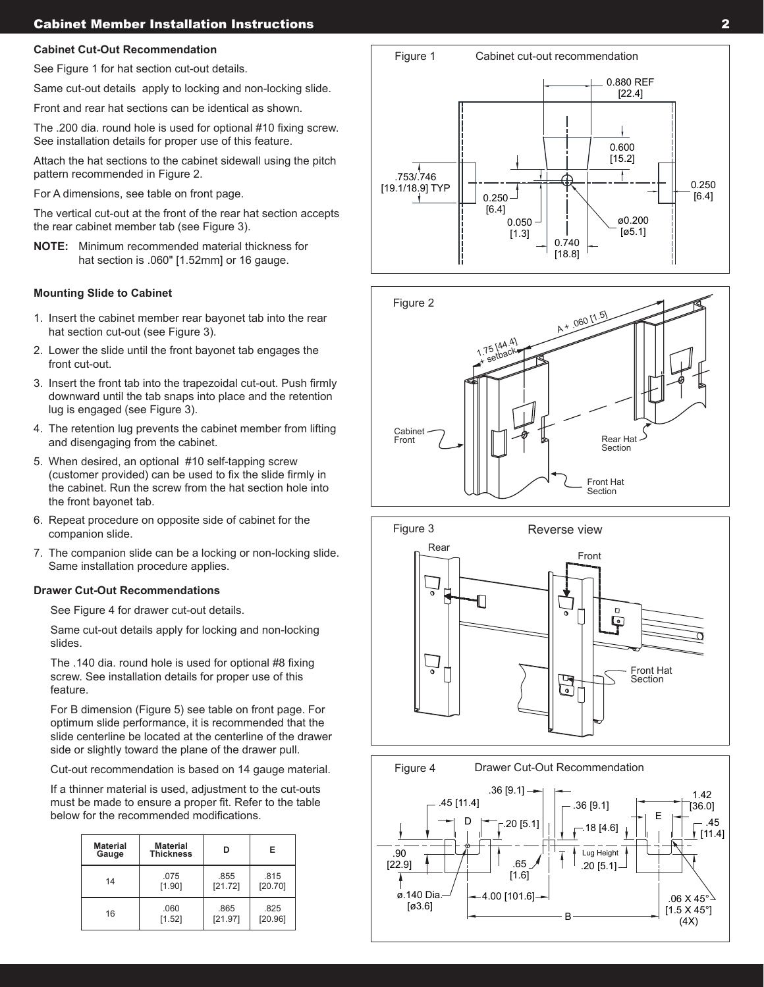# Cabinet Member Installation Instructions

### **Cabinet Cut-Out Recommendation**

See Figure 1 for hat section cut-out details.

Same cut-out details apply to locking and non-locking slide.

Front and rear hat sections can be identical as shown.

The .200 dia. round hole is used for optional #10 fixing screw. See installation details for proper use of this feature.

Attach the hat sections to the cabinet sidewall using the pitch pattern recommended in Figure 2.

For A dimensions, see table on front page.

The vertical cut-out at the front of the rear hat section accepts the rear cabinet member tab (see Figure 3).

**NOTE:** Minimum recommended material thickness for hat section is .060" [1.52mm] or 16 gauge.

## **Mounting Slide to Cabinet**

- 1. Insert the cabinet member rear bayonet tab into the rear hat section cut-out (see Figure 3).
- 2. Lower the slide until the front bayonet tab engages the front cut-out.
- 3. Insert the front tab into the trapezoidal cut-out. Push firmly downward until the tab snaps into place and the retention lug is engaged (see Figure 3).
- 4. The retention lug prevents the cabinet member from lifting and disengaging from the cabinet.
- 5. When desired, an optional #10 self-tapping screw (customer provided) can be used to fix the slide firmly in the cabinet. Run the screw from the hat section hole into the front bayonet tab.
- 6. Repeat procedure on opposite side of cabinet for the companion slide.
- 7. The companion slide can be a locking or non-locking slide. Same installation procedure applies.

## **Drawer Cut-Out Recommendations**

See Figure 4 for drawer cut-out details.

Same cut-out details apply for locking and non-locking slides.

The .140 dia. round hole is used for optional #8 fixing screw. See installation details for proper use of this feature.

For B dimension (Figure 5) see table on front page. For optimum slide performance, it is recommended that the slide centerline be located at the centerline of the drawer side or slightly toward the plane of the drawer pull.

Cut-out recommendation is based on 14 gauge material.

If a thinner material is used, adjustment to the cut-outs must be made to ensure a proper fit. Refer to the table below for the recommended modifications.

| <b>Material</b><br>Gauge | <b>Material</b><br><b>Thickness</b> | ח               | Е               |
|--------------------------|-------------------------------------|-----------------|-----------------|
| 14                       | .075<br>[1.90]                      | .855<br>[21.72] | .815<br>[20.70] |
| .060<br>16<br>[1.52]     |                                     | .865<br>[21.97] | .825<br>[20.96] |